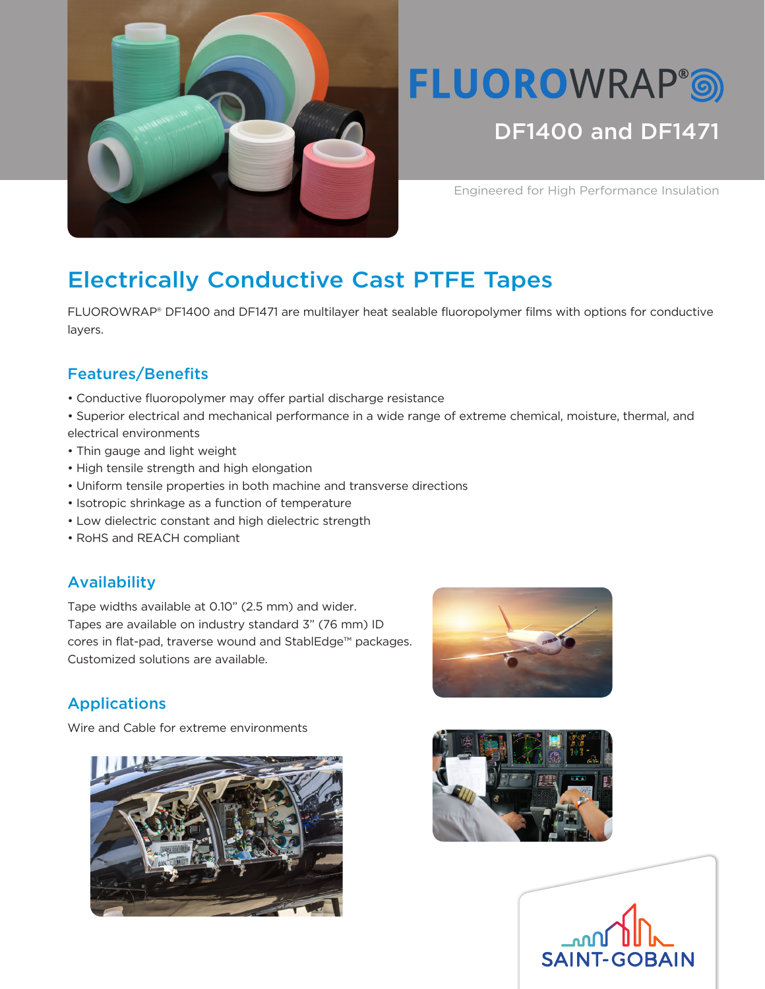

# **FLUOROWRAP®®** DF1400 and DF1471

Engineered for High Performance Insulation

# Electrically Conductive Cast PTFE Tapes

FLUOROWRAP® DF1400 and DF1471 are multilayer heat sealable fluoropolymer films with options for conductive layers.

## Features/Benefits

- Conductive fluoropolymer may offer partial discharge resistance
- Superior electrical and mechanical performance in a wide range of extreme chemical, moisture, thermal, and electrical environments
- Thin gauge and light weight
- High tensile strength and high elongation
- Uniform tensile properties in both machine and transverse directions
- Isotropic shrinkage as a function of temperature
- Low dielectric constant and high dielectric strength
- RoHS and REACH compliant

### Availability

Tape widths available at 0.10" (2.5 mm) and wider. Tapes are available on industry standard 3" (76 mm) ID cores in flat-pad, traverse wound and StablEdge™ packages. Customized solutions are available.

### Applications

Wire and Cable for extreme environments